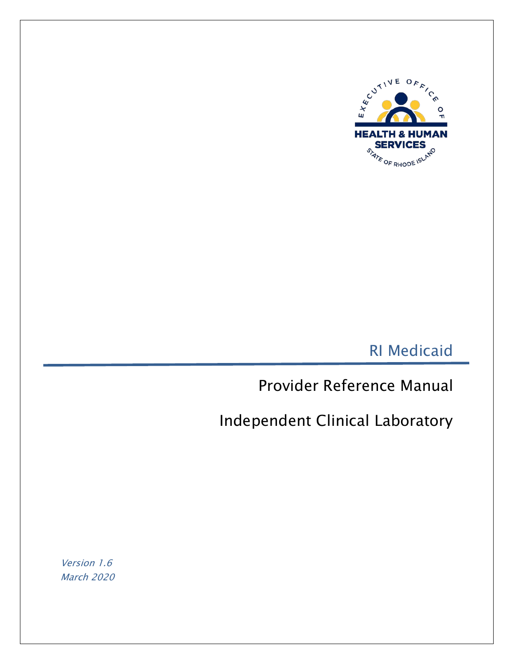

RI Medicaid

Provider Reference Manual

Independent Clinical Laboratory

Version 1.6 March 2020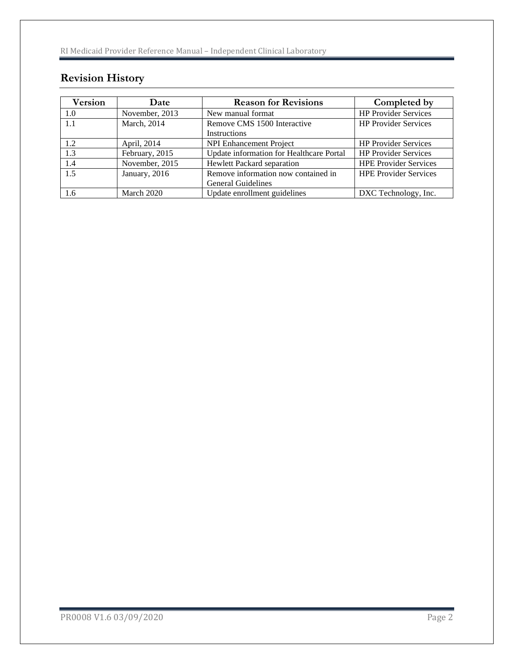# **Revision History**

| <b>Version</b> | Date           | <b>Reason for Revisions</b>                                      | Completed by                 |
|----------------|----------------|------------------------------------------------------------------|------------------------------|
| 1.0            | November, 2013 | New manual format                                                | <b>HP Provider Services</b>  |
| 1.1            | March, 2014    | Remove CMS 1500 Interactive<br>Instructions                      | <b>HP Provider Services</b>  |
| 1.2            | April, 2014    | <b>NPI Enhancement Project</b>                                   | <b>HP Provider Services</b>  |
| 1.3            | February, 2015 | Update information for Healthcare Portal                         | <b>HP Provider Services</b>  |
| 1.4            | November, 2015 | Hewlett Packard separation                                       | <b>HPE Provider Services</b> |
| 1.5            | January, 2016  | Remove information now contained in<br><b>General Guidelines</b> | <b>HPE Provider Services</b> |
| 1.6            | March 2020     | Update enrollment guidelines                                     | DXC Technology, Inc.         |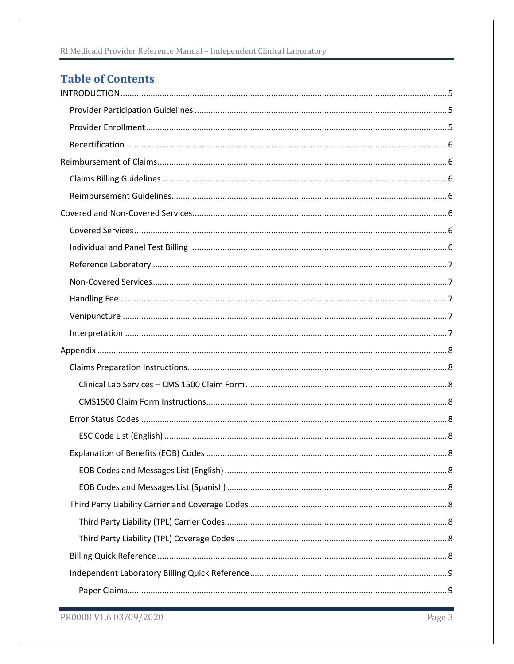# **Table of Contents**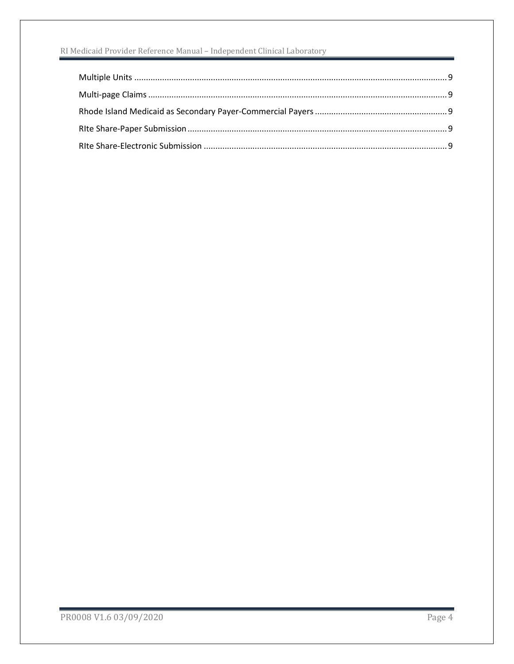#### RI Medicaid Provider Reference Manual - Independent Clinical Laboratory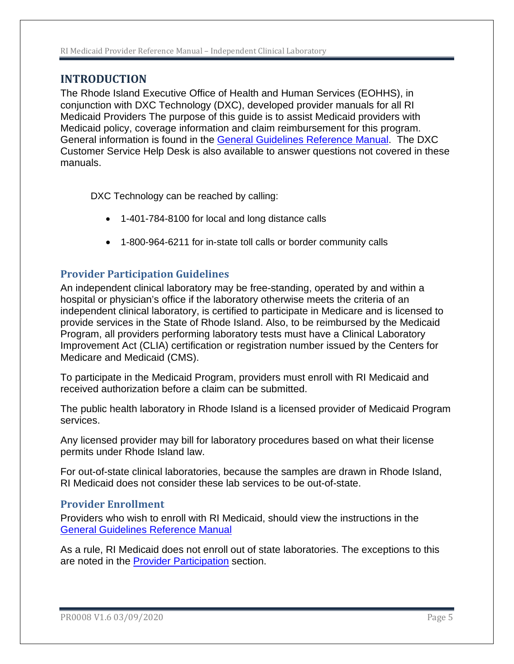## <span id="page-4-0"></span>**INTRODUCTION**

The Rhode Island Executive Office of Health and Human Services (EOHHS), in conjunction with DXC Technology (DXC), developed provider manuals for all RI Medicaid Providers The purpose of this guide is to assist Medicaid providers with Medicaid policy, coverage information and claim reimbursement for this program. General information is found in the [General Guidelines Reference Manual.](http://www.eohhs.ri.gov/Portals/0/Uploads/Documents/MA%20Providers/MA%20Reference%20Guides/General%20Guidelines/General_Guidelines.pdf) The DXC Customer Service Help Desk is also available to answer questions not covered in these manuals.

DXC Technology can be reached by calling:

- 1-401-784-8100 for local and long distance calls
- 1-800-964-6211 for in-state toll calls or border community calls

## <span id="page-4-1"></span>**Provider Participation Guidelines**

An independent clinical laboratory may be free-standing, operated by and within a hospital or physician's office if the laboratory otherwise meets the criteria of an independent clinical laboratory, is certified to participate in Medicare and is licensed to provide services in the State of Rhode Island. Also, to be reimbursed by the Medicaid Program, all providers performing laboratory tests must have a Clinical Laboratory Improvement Act (CLIA) certification or registration number issued by the Centers for Medicare and Medicaid (CMS).

To participate in the Medicaid Program, providers must enroll with RI Medicaid and received authorization before a claim can be submitted.

The public health laboratory in Rhode Island is a licensed provider of Medicaid Program services.

Any licensed provider may bill for laboratory procedures based on what their license permits under Rhode Island law.

For out-of-state clinical laboratories, because the samples are drawn in Rhode Island, RI Medicaid does not consider these lab services to be out-of-state.

### <span id="page-4-2"></span>**Provider Enrollment**

Providers who wish to enroll with RI Medicaid, should view the instructions in the [General Guidelines Reference Manual](http://www.eohhs.ri.gov/Portals/0/Uploads/Documents/MA%20Providers/MA%20Reference%20Guides/General%20Guidelines/General_Guidelines.pdf)

As a rule, RI Medicaid does not enroll out of state laboratories. The exceptions to this are noted in the **Provider Participation** section.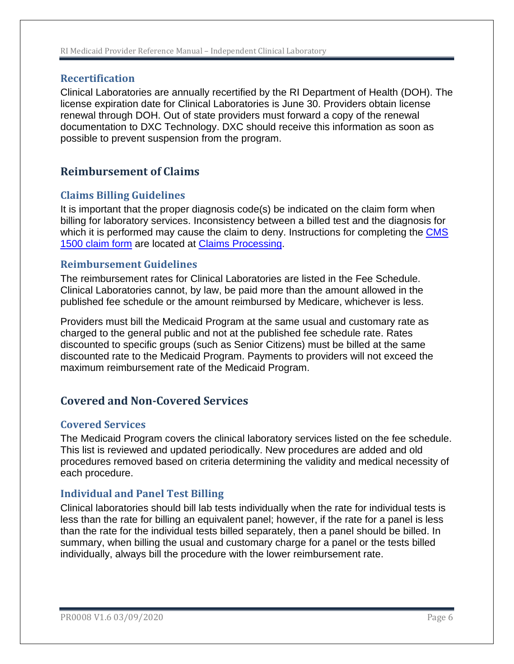### <span id="page-5-0"></span>**Recertification**

Clinical Laboratories are annually recertified by the RI Department of Health (DOH). The license expiration date for Clinical Laboratories is June 30. Providers obtain license renewal through DOH. Out of state providers must forward a copy of the renewal documentation to DXC Technology. DXC should receive this information as soon as possible to prevent suspension from the program.

## <span id="page-5-1"></span>**Reimbursement of Claims**

## <span id="page-5-2"></span>**Claims Billing Guidelines**

It is important that the proper diagnosis code(s) be indicated on the claim form when billing for laboratory services. Inconsistency between a billed test and the diagnosis for which it is performed may cause the claim to deny. Instructions for completing the CMS [1500 claim form](http://www.eohhs.ri.gov/ProvidersPartners/BillingampClaims/ClaimsProcessing.aspx) are located at [Claims Processing.](http://www.eohhs.ri.gov/ProvidersPartners/BillingampClaims/ClaimsProcessing.aspx.)

### <span id="page-5-3"></span>**Reimbursement Guidelines**

The reimbursement rates for Clinical Laboratories are listed in the Fee Schedule. Clinical Laboratories cannot, by law, be paid more than the amount allowed in the published fee schedule or the amount reimbursed by Medicare, whichever is less.

Providers must bill the Medicaid Program at the same usual and customary rate as charged to the general public and not at the published fee schedule rate. Rates discounted to specific groups (such as Senior Citizens) must be billed at the same discounted rate to the Medicaid Program. Payments to providers will not exceed the maximum reimbursement rate of the Medicaid Program.

## <span id="page-5-4"></span>**Covered and Non-Covered Services**

## <span id="page-5-5"></span>**Covered Services**

The Medicaid Program covers the clinical laboratory services listed on the fee schedule. This list is reviewed and updated periodically. New procedures are added and old procedures removed based on criteria determining the validity and medical necessity of each procedure.

## <span id="page-5-6"></span>**Individual and Panel Test Billing**

Clinical laboratories should bill lab tests individually when the rate for individual tests is less than the rate for billing an equivalent panel; however, if the rate for a panel is less than the rate for the individual tests billed separately, then a panel should be billed. In summary, when billing the usual and customary charge for a panel or the tests billed individually, always bill the procedure with the lower reimbursement rate.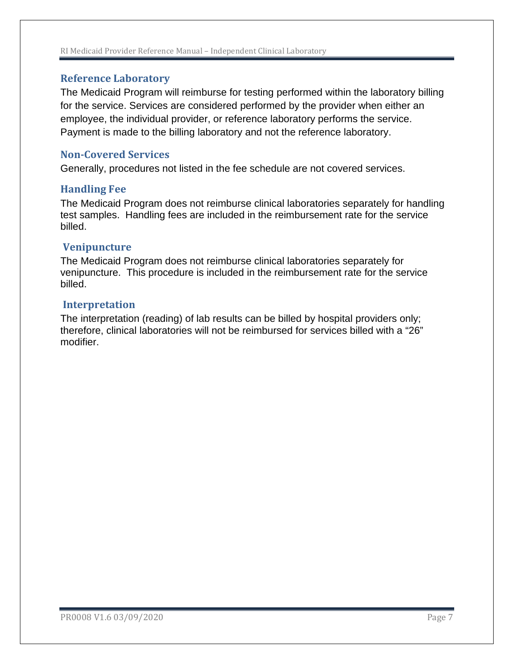#### RI Medicaid Provider Reference Manual – Independent Clinical Laboratory

#### <span id="page-6-0"></span>**Reference Laboratory**

The Medicaid Program will reimburse for testing performed within the laboratory billing for the service. Services are considered performed by the provider when either an employee, the individual provider, or reference laboratory performs the service. Payment is made to the billing laboratory and not the reference laboratory.

#### <span id="page-6-1"></span>**Non-Covered Services**

Generally, procedures not listed in the fee schedule are not covered services.

#### <span id="page-6-2"></span>**Handling Fee**

The Medicaid Program does not reimburse clinical laboratories separately for handling test samples. Handling fees are included in the reimbursement rate for the service billed.

#### <span id="page-6-3"></span>**Venipuncture**

The Medicaid Program does not reimburse clinical laboratories separately for venipuncture. This procedure is included in the reimbursement rate for the service billed.

#### <span id="page-6-4"></span>**Interpretation**

The interpretation (reading) of lab results can be billed by hospital providers only; therefore, clinical laboratories will not be reimbursed for services billed with a "26" modifier.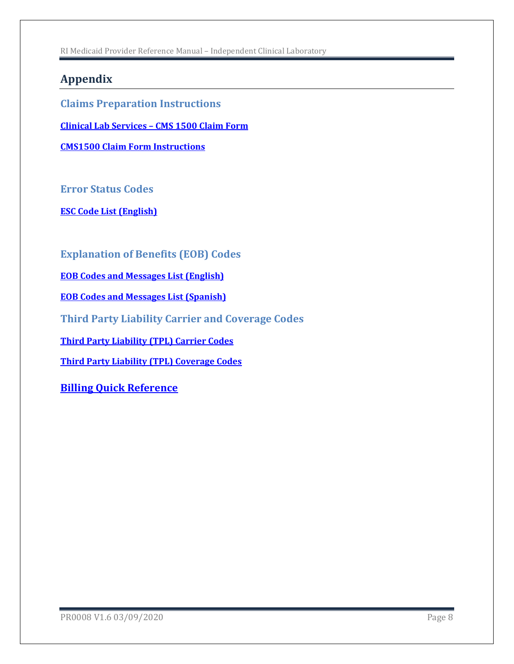RI Medicaid Provider Reference Manual – Independent Clinical Laboratory

## <span id="page-7-0"></span>**Appendix**

<span id="page-7-1"></span>**Claims Preparation Instructions**

<span id="page-7-2"></span>**[Clinical](http://www.eohhs.ri.gov/Portals/0/Uploads/Documents/cms1500_form.pdf) Lab Services – CMS 1500 Claim Form**

<span id="page-7-3"></span>**[CMS1500 Claim Form Instructions](http://www.eohhs.ri.gov/Portals/0/Uploads/Documents/cms1500_directions.pdf)**

<span id="page-7-4"></span>**Error Status Codes**

<span id="page-7-5"></span>**[ESC Code List \(English\)](http://www.eohhs.ri.gov/Portals/0/Uploads/Documents/esc_list.pdf)**

<span id="page-7-6"></span>**Explanation of Benefits (EOB) Codes**

<span id="page-7-7"></span>**[EOB Codes and Messages List \(English\)](http://www.eohhs.ri.gov/Portals/0/Uploads/Documents/eob_list_eng.pdf)**

<span id="page-7-8"></span>**[EOB Codes and Messages List \(Spanish\)](http://www.eohhs.ri.gov/ProvidersPartners/BillingampClaims/ClaimsProcessing/SpanishEOBListing.aspx)**

<span id="page-7-9"></span>**Third Party Liability Carrier and Coverage Codes**

<span id="page-7-10"></span>**[Third Party Liability \(TPL\) Carrier Codes](http://www.eohhs.ri.gov/Portals/0/Uploads/Documents/carrier_code.pdf)**

<span id="page-7-11"></span>**[Third Party Liability \(TPL\) Coverage Codes](http://www.eohhs.ri.gov/ProvidersPartners/BillingampClaims/ThirdPartyLiability/CoverageCodes.aspx)**

<span id="page-7-12"></span>**[Billing Quick Reference](#page-8-0)**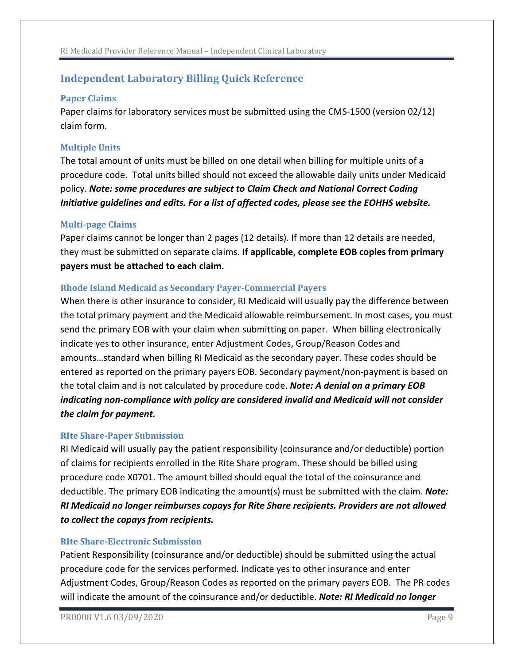## <span id="page-8-0"></span>**Independent Laboratory Billing Quick Reference**

#### <span id="page-8-1"></span>**Paper Claims**

Paper claims for laboratory services must be submitted using the CMS-1500 (version 02/12) claim form.

#### <span id="page-8-2"></span>**Multiple Units**

The total amount of units must be billed on one detail when billing for multiple units of a procedure code. Total units billed should not exceed the allowable daily units under Medicaid policy. *Note: some procedures are subject to Claim Check and National Correct Coding Initiative guidelines and edits. For a list of affected codes, please see the EOHHS website.*

#### <span id="page-8-3"></span>**Multi-page Claims**

Paper claims cannot be longer than 2 pages (12 details). If more than 12 details are needed, they must be submitted on separate claims. **If applicable, complete EOB copies from primary payers must be attached to each claim.** 

#### <span id="page-8-4"></span>**Rhode Island Medicaid as Secondary Payer-Commercial Payers**

When there is other insurance to consider, RI Medicaid will usually pay the difference between the total primary payment and the Medicaid allowable reimbursement. In most cases, you must send the primary EOB with your claim when submitting on paper. When billing electronically indicate yes to other insurance, enter Adjustment Codes, Group/Reason Codes and amounts…standard when billing RI Medicaid as the secondary payer. These codes should be entered as reported on the primary payers EOB. Secondary payment/non-payment is based on the total claim and is not calculated by procedure code. *Note: A denial on a primary EOB indicating non-compliance with policy are considered invalid and Medicaid will not consider the claim for payment.* 

#### <span id="page-8-5"></span>**RIte Share-Paper Submission**

RI Medicaid will usually pay the patient responsibility (coinsurance and/or deductible) portion of claims for recipients enrolled in the Rite Share program. These should be billed using procedure code X0701. The amount billed should equal the total of the coinsurance and deductible. The primary EOB indicating the amount(s) must be submitted with the claim. *Note: RI Medicaid no longer reimburses copays for Rite Share recipients. Providers are not allowed to collect the copays from recipients.*

#### <span id="page-8-6"></span>**RIte Share-Electronic Submission**

Patient Responsibility (coinsurance and/or deductible) should be submitted using the actual procedure code for the services performed. Indicate yes to other insurance and enter Adjustment Codes, Group/Reason Codes as reported on the primary payers EOB. The PR codes will indicate the amount of the coinsurance and/or deductible. *Note: RI Medicaid no longer*